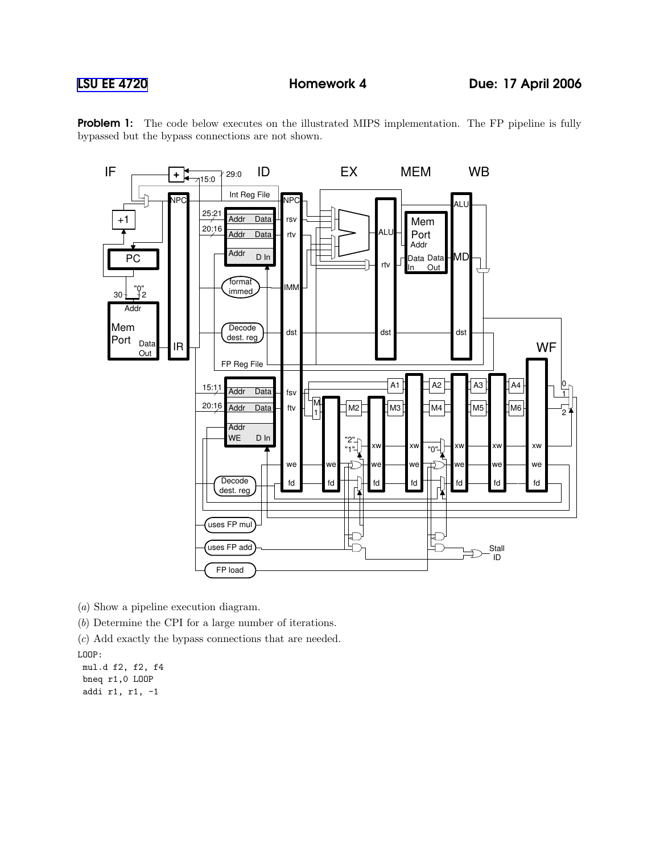



(a) Show a pipeline execution diagram.

(b) Determine the CPI for a large number of iterations.

(c) Add exactly the bypass connections that are needed.

LOOP:

mul.d f2, f2, f4 bneq r1,0 LOOP addi r1, r1, -1